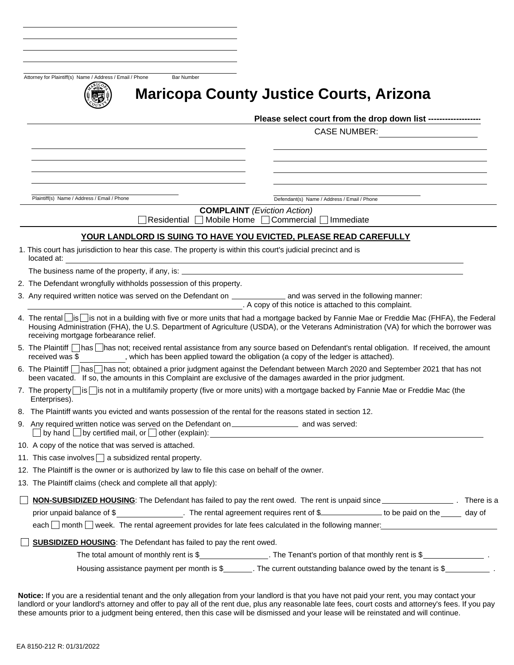Attorney for Plaintiff(s) Name / Address / Email / Phone Bar Number



# **Maricopa County Justice Courts, Arizona**

Please select court from the drop down list --------------

CASE NUMBER:

Plaintiff(s) Name / Address / Email / Phone Defendant(s) Name / Address / Email / Phone

**COMPLAINT** *(Eviction Action)*

 $\Box$  Residential  $\Box$  Mobile Home  $\Box$  Commercial  $\Box$  Immediate

#### **YOUR LANDLORD IS SUING TO HAVE YOU EVICTED, PLEASE READ CAREFULLY**

1. This court has jurisdiction to hear this case. The property is within this court's judicial precinct and is located at:

The business name of the property, if any, is:

2. The Defendant wrongfully withholds possession of this property.

3. Any required written notice was served on the Defendant on \_\_\_\_\_\_\_\_\_\_\_\_\_\_\_ and was served in the following manner: . A copy of this notice is attached to this complaint.

- 4. The rental is is is not in a building with five or more units that had a mortgage backed by Fannie Mae or Freddie Mac (FHFA), the Federal Housing Administration (FHA), the U.S. Department of Agriculture (USDA), or the Veterans Administration (VA) for which the borrower was receiving mortgage forbearance relief.
- 5. The Plaintiff has has not; received rental assistance from any source based on Defendant's rental obligation. If received, the amount received was \$ , which has been applied toward the obligation (a copy of the ledger is attached).
- 6. The Plaintiff has has not; obtained a prior judgment against the Defendant between March 2020 and September 2021 that has not been vacated. If so, the amounts in this Complaint are exclusive of the damages awarded in the prior judgment.
- 7. The property  $\log$  is  $\log$  tot in a multifamily property (five or more units) with a mortgage backed by Fannie Mae or Freddie Mac (the Enterprises).
- 8. The Plaintiff wants you evicted and wants possession of the rental for the reasons stated in section 12.
- 9. Any required written notice was served on the Defendant on \_\_\_\_\_\_\_\_\_\_\_\_\_\_\_\_\_\_\_ and was served: by hand  $\bigsqcup$  by certified mail, or  $\bigsqcup$  other (explain):
- 10. A copy of the notice that was served is attached.
- 11. This case involves  $\Box$  a subsidized rental property.
- 12. The Plaintiff is the owner or is authorized by law to file this case on behalf of the owner.
- 13. The Plaintiff claims (check and complete all that apply):

|                            | NON-SUBSIDIZED HOUSING: The Defendant has failed to pay the rent owed. The rent is unpaid since                | There is a |
|----------------------------|----------------------------------------------------------------------------------------------------------------|------------|
| prior unpaid balance of \$ | The rental agreement requires rent of \$<br>$\_$ to be paid on the                                             | day of     |
|                            | each $\Box$ month $\Box$ week. The rental agreement provides for late fees calculated in the following manner: |            |

**SUBSIDIZED HOUSING:** The Defendant has failed to pay the rent owed.

The total amount of monthly rent is  $\$\$ . The Tenant's portion of that monthly rent is  $\$\$ .

Housing assistance payment per month is \$\_\_\_\_\_\_\_. The current outstanding balance owed by the tenant is \$\_\_\_\_\_\_

**Notice:** If you are a residential tenant and the only allegation from your landlord is that you have not paid your rent, you may contact your landlord or your landlord's attorney and offer to pay all of the rent due, plus any reasonable late fees, court costs and attorney's fees. If you pay these amounts prior to a judgment being entered, then this case will be dismissed and your lease will be reinstated and will continue.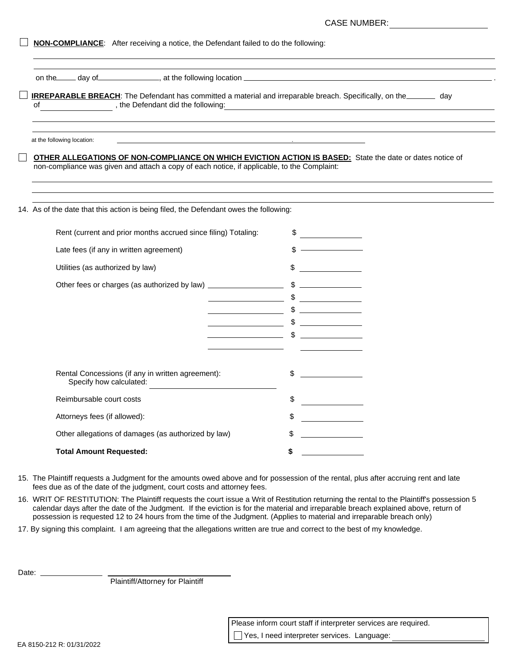| <b>CASE NUMBER:</b> |
|---------------------|
|---------------------|

|  |  |  | <b>NON-COMPLIANCE:</b> After receiving a notice, the Defendant failed to do the following: |  |
|--|--|--|--------------------------------------------------------------------------------------------|--|
|--|--|--|--------------------------------------------------------------------------------------------|--|

on the day of data day denote a set the following location  $\equiv$ 

|  | <b>IRREPARABLE BREACH:</b> The Defendant has committed a material and irreparable breach. Specifically, on the | day |
|--|----------------------------------------------------------------------------------------------------------------|-----|
|  | the Defendant did the following:                                                                               |     |

at the following location:

**OTHER ALLEGATIONS OF NON-COMPLIANCE ON WHICH EVICTION ACTION IS BASED:** State the date or dates notice of non-compliance was given and attach a copy of each notice, if applicable, to the Complaint:

14. As of the date that this action is being filed, the Defendant owes the following:

| Rent (current and prior months accrued since filing) Totaling:               |    |
|------------------------------------------------------------------------------|----|
| Late fees (if any in written agreement)                                      |    |
| Utilities (as authorized by law)                                             |    |
|                                                                              |    |
|                                                                              |    |
|                                                                              |    |
|                                                                              |    |
|                                                                              |    |
|                                                                              |    |
| Rental Concessions (if any in written agreement):<br>Specify how calculated: |    |
| Reimbursable court costs                                                     | \$ |
| Attorneys fees (if allowed):                                                 | \$ |
| Other allegations of damages (as authorized by law)                          |    |
| <b>Total Amount Requested:</b>                                               |    |
|                                                                              |    |

15. The Plaintiff requests a Judgment for the amounts owed above and for possession of the rental, plus after accruing rent and late fees due as of the date of the judgment, court costs and attorney fees.

16. WRIT OF RESTITUTION: The Plaintiff requests the court issue a Writ of Restitution returning the rental to the Plaintiff's possession 5 calendar days after the date of the Judgment. If the eviction is for the material and irreparable breach explained above, return of possession is requested 12 to 24 hours from the time of the Judgment. (Applies to material and irreparable breach only)

17. By signing this complaint. I am agreeing that the allegations written are true and correct to the best of my knowledge.

Date:  $\_\_$ 

Plaintiff/Attorney for Plaintiff

 Please inform court staff if interpreter services are required. Yes, I need interpreter services. Language: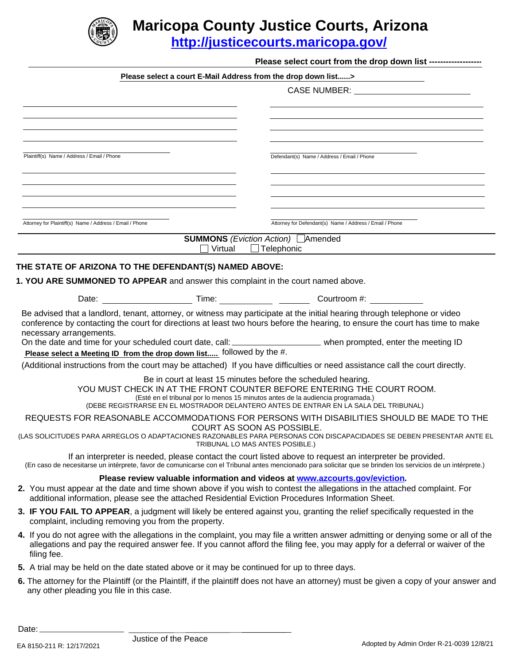

## **Maricopa County Justice Courts, Arizona**

**<http://justicecourts.maricopa.gov/>**

|                                                                                                    |                                                               | Please select a court E-Mail Address from the drop down list>                                                                                                                                                                                                                                                                                                                                    |
|----------------------------------------------------------------------------------------------------|---------------------------------------------------------------|--------------------------------------------------------------------------------------------------------------------------------------------------------------------------------------------------------------------------------------------------------------------------------------------------------------------------------------------------------------------------------------------------|
|                                                                                                    |                                                               | CASE NUMBER: ____________________________                                                                                                                                                                                                                                                                                                                                                        |
|                                                                                                    |                                                               |                                                                                                                                                                                                                                                                                                                                                                                                  |
|                                                                                                    |                                                               |                                                                                                                                                                                                                                                                                                                                                                                                  |
|                                                                                                    |                                                               | the control of the control of the control of the control of the control of the control of the control of the control of the control of the control of the control of the control of the control of the control of the control                                                                                                                                                                    |
| Plaintiff(s) Name / Address / Email / Phone                                                        |                                                               | Defendant(s) Name / Address / Email / Phone                                                                                                                                                                                                                                                                                                                                                      |
|                                                                                                    |                                                               |                                                                                                                                                                                                                                                                                                                                                                                                  |
|                                                                                                    |                                                               |                                                                                                                                                                                                                                                                                                                                                                                                  |
|                                                                                                    |                                                               |                                                                                                                                                                                                                                                                                                                                                                                                  |
| Attorney for Plaintiff(s) Name / Address / Email / Phone                                           |                                                               | Attorney for Defendant(s) Name / Address / Email / Phone                                                                                                                                                                                                                                                                                                                                         |
|                                                                                                    |                                                               | <b>SUMMONS</b> (Eviction Action) Amended                                                                                                                                                                                                                                                                                                                                                         |
|                                                                                                    | Virtual                                                       | $\Box$ Telephonic                                                                                                                                                                                                                                                                                                                                                                                |
| THE STATE OF ARIZONA TO THE DEFENDANT(S) NAMED ABOVE:                                              |                                                               |                                                                                                                                                                                                                                                                                                                                                                                                  |
| 1. YOU ARE SUMMONED TO APPEAR and answer this complaint in the court named above.                  |                                                               |                                                                                                                                                                                                                                                                                                                                                                                                  |
|                                                                                                    |                                                               |                                                                                                                                                                                                                                                                                                                                                                                                  |
| necessary arrangements.                                                                            |                                                               | Be advised that a landlord, tenant, attorney, or witness may participate at the initial hearing through telephone or video<br>conference by contacting the court for directions at least two hours before the hearing, to ensure the court has time to make                                                                                                                                      |
|                                                                                                    |                                                               |                                                                                                                                                                                                                                                                                                                                                                                                  |
|                                                                                                    |                                                               | On the date and time for your scheduled court date, call: _______________________ when prompted, enter the meeting ID                                                                                                                                                                                                                                                                            |
| Please select a Meeting ID from the drop down list followed by the #.                              |                                                               | (Additional instructions from the court may be attached) If you have difficulties or need assistance call the court directly.                                                                                                                                                                                                                                                                    |
|                                                                                                    |                                                               | Be in court at least 15 minutes before the scheduled hearing.<br>YOU MUST CHECK IN AT THE FRONT COUNTER BEFORE ENTERING THE COURT ROOM.<br>(Esté en el tribunal por lo menos 15 minutos antes de la audiencia programada.)<br>(DEBE REGISTRARSE EN EL MOSTRADOR DELANTERO ANTES DE ENTRAR EN LA SALA DEL TRIBUNAL)                                                                               |
|                                                                                                    | COURT AS SOON AS POSSIBLE.<br>TRIBUNAL LO MAS ANTES POSIBLE.) | REQUESTS FOR REASONABLE ACCOMMODATIONS FOR PERSONS WITH DISABILITIES SHOULD BE MADE TO THE                                                                                                                                                                                                                                                                                                       |
|                                                                                                    |                                                               | (LAS SOLICITUDES PARA ARREGLOS O ADAPTACIONES RAZONABLES PARA PERSONAS CON DISCAPACIDADES SE DEBEN PRESENTAR ANTE EL<br>If an interpreter is needed, please contact the court listed above to request an interpreter be provided.<br>(En caso de necesitarse un intérprete, favor de comunicarse con el Tribunal antes mencionado para solicitar que se brinden los servicios de un intérprete.) |
| additional information, please see the attached Residential Eviction Procedures Information Sheet. |                                                               | Please review valuable information and videos at www.azcourts.gov/eviction.<br>2. You must appear at the date and time shown above if you wish to contest the allegations in the attached complaint. For                                                                                                                                                                                         |
| complaint, including removing you from the property.                                               |                                                               | 3. IF YOU FAIL TO APPEAR, a judgment will likely be entered against you, granting the relief specifically requested in the                                                                                                                                                                                                                                                                       |
| filing fee.                                                                                        |                                                               | 4. If you do not agree with the allegations in the complaint, you may file a written answer admitting or denying some or all of the<br>allegations and pay the required answer fee. If you cannot afford the filing fee, you may apply for a deferral or waiver of the                                                                                                                           |
| 5. A trial may be held on the date stated above or it may be continued for up to three days.       |                                                               |                                                                                                                                                                                                                                                                                                                                                                                                  |